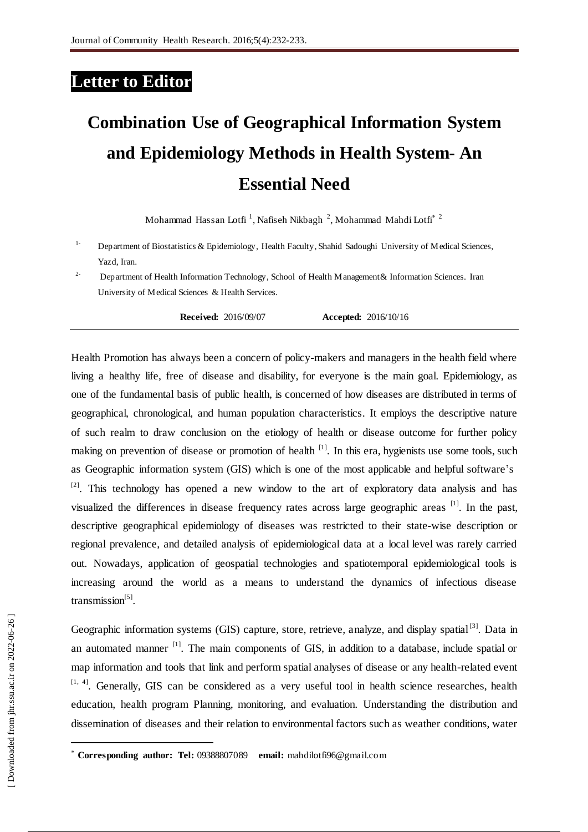## **Letter to Editor**

## **Combination Use of Geographical Information System and Epidemiology Methods in Health System- An Essential Need**

Mohammad Hassan Lotfi <sup>1</sup>, Nafiseh Nikbagh <sup>2</sup>, Mohammad Mahdi Lotfi $^*$  <sup>2</sup>

- <sup>1-</sup> Department of Biostatistics & Epidemiology, Health Faculty, Shahid Sadoughi University of Medical Sciences, Yazd, Iran.
- <sup>2-</sup> Department of Health Information Technology, School of Health Management & Information Sciences. Iran University of Medical Sciences & Health Services.

**Received:** 2016/09/07 **Accepted:** 2016/10/16

Health Promotion has always been a concern of policy-makers and managers in the health field where living a healthy life, free of disease and disability, for everyone is the main goal. Epidemiology, as one of the fundamental basis of public health, is concerned of how diseases are distributed in terms of geographical, chronological, and human population characteristics. It employs the descriptive nature of such realm to draw conclusion on the etiology of health or disease outcome for further policy making on prevention of disease or promotion of health <sup>[1]</sup>. In this era, hygienists use some tools, such as Geographic information system (GIS) which is one of the most applicable and helpful software's  $[2]$ . This technology has opened a new window to the art of exploratory data analysis and has visualized the differences in disease frequency rates across large geographic areas <sup>[1]</sup>. In the past, descriptive geographical epidemiology of diseases was restricted to their state-wise description or regional prevalence, and detailed analysis of epidemiological data at a local level was rarely carried out. Nowadays, application of geospatial technologies and spatiotemporal epidemiological tools is increasing around the world as a means to understand the dynamics of infectious disease transmission<sup>[5]</sup>.

Geographic information systems (GIS) capture, store, retrieve, analyze, and display spatial<sup>[3]</sup>. Data in an automated manner <sup>[1]</sup>. The main components of GIS, in addition to a database, include spatial or map information and tools that link and perform spatial analyses of disease or any health-related event  $[1, 4]$ . Generally, GIS can be considered as a very useful tool in health science researches, health education, health program Planning, monitoring, and evaluation. Understanding the distribution and dissemination of diseases and their relation to environmental factors such as weather conditions, water

 $\overline{a}$ 

**Corresponding author: Tel:** 09388807089 **email:** [mahdilotfi96@gmail.com](mailto:mahdilotfi96@gmail.com)